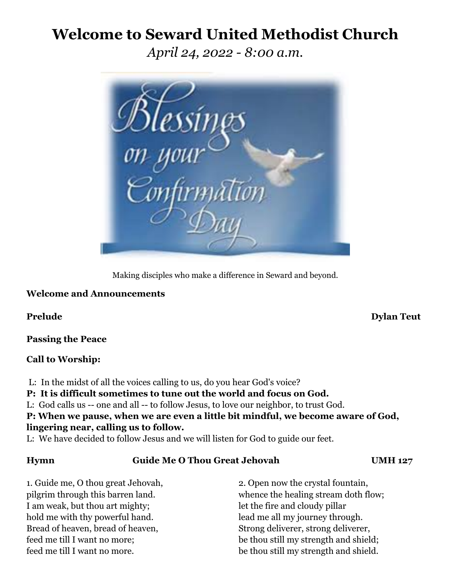# **Welcome to Seward United Methodist Church**

*April 24, 2022 - 8:00 a.m.*



Making disciples who make a difference in Seward and beyond.

# **Welcome and Announcements**

**Passing the Peace**

## **Call to Worship:**

L: In the midst of all the voices calling to us, do you hear God's voice?

# **P: It is difficult sometimes to tune out the world and focus on God.**

L: God calls us -- one and all -- to follow Jesus, to love our neighbor, to trust God.

**P: When we pause, when we are even a little bit mindful, we become aware of God, lingering near, calling us to follow.**

L: We have decided to follow Jesus and we will listen for God to guide our feet.

## **Hymn Guide Me O Thou Great Jehovah UMH 127**

I am weak, but thou art mighty; let the fire and cloudy pillar hold me with thy powerful hand. lead me all my journey through. Bread of heaven, bread of heaven, Strong deliverer, strong deliverer, strong deliverer,

1. Guide me, O thou great Jehovah, 2. Open now the crystal fountain, pilgrim through this barren land. whence the healing stream doth flow; feed me till I want no more; be thou still my strength and shield; feed me till I want no more. be thou still my strength and shield.

## **Prelude Dylan Teut**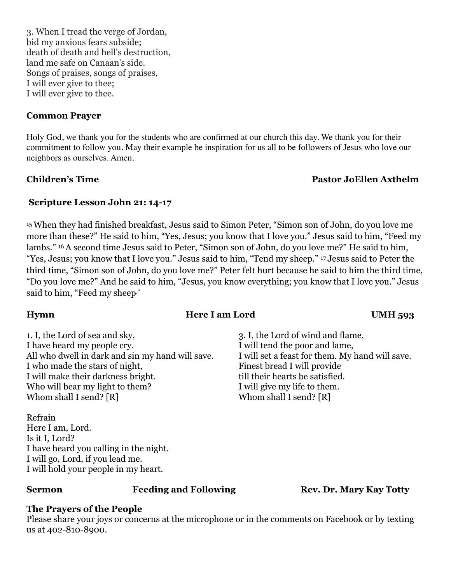3. When I tread the verge of Jordan, bid my anxious fears subside; death of death and hell's destruction, land me safe on Canaan's side. Songs of praises, songs of praises, I will ever give to thee; I will ever give to thee.

# **Common Prayer**

Holy God, we thank you for the students who are confirmed at our church this day. We thank you for their commitment to follow you. May their example be inspiration for us all to be followers of Jesus who love our neighbors as ourselves. Amen.

# **Children's Time Pastor JoEllen Axthelm**

# **Scripture Lesson John 21: 14-17**

15When they had finished breakfast, Jesus said to Simon Peter, "Simon son of John, do you love me more than these?" He said to him, "Yes, Jesus; you know that I love you." Jesus said to him, "Feed my lambs." 16A second time Jesus said to Peter, "Simon son of John, do you love me?" He said to him, "Yes, Jesus; you know that I love you." Jesus said to him, "Tend my sheep." <sup>17</sup> Jesus said to Peter the third time, "Simon son of John, do you love me?" Peter felt hurt because he said to him the third time, "Do you love me?" And he said to him, "Jesus, you know everything; you know that I love you." Jesus said to him, "Feed my sheep."

# **Hymn Here I am Lord UMH 593**

1. I, the Lord of sea and sky, 3. I, the Lord of wind and flame, I have heard my people cry. I will tend the poor and lame, All who dwell in dark and sin my hand will save. I will set a feast for them. My hand will save. I who made the stars of night, Finest bread I will provide I will make their darkness bright. till their hearts be satisfied. Who will bear my light to them? I will give my life to them. Whom shall I send? [R] Whom shall I send? [R]

Refrain Here I am, Lord. Is it I, Lord? I have heard you calling in the night. I will go, Lord, if you lead me. I will hold your people in my heart.

**Sermon Feeding and Following <b>Rev. Dr. Mary Kay Totty** 

# **The Prayers of the People**

Please share your joys or concerns at the microphone or in the comments on Facebook or by texting us at 402-810-8900.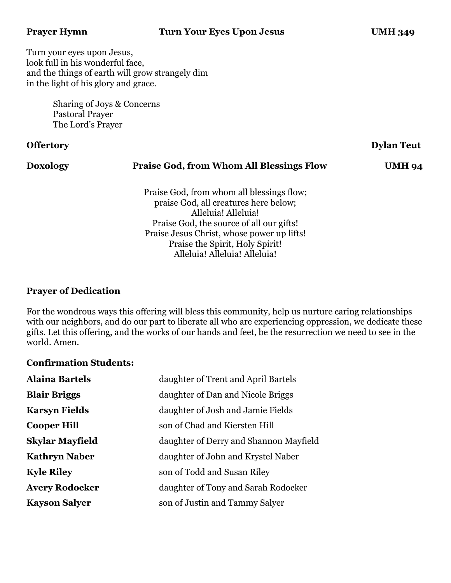Turn your eyes upon Jesus, look full in his wonderful face, and the things of earth will grow strangely dim in the light of his glory and grace.

> Sharing of Joys & Concerns Pastoral Prayer The Lord's Prayer

### **Offertory Dylan Teut**

# **Doxology Praise God, from Whom All Blessings Flow UMH 94** Praise God, from whom all blessings flow; praise God, all creatures here below; Alleluia! Alleluia! Praise God, the source of all our gifts! Praise Jesus Christ, whose power up lifts! Praise the Spirit, Holy Spirit! Alleluia! Alleluia! Alleluia!

# **Prayer of Dedication**

For the wondrous ways this offering will bless this community, help us nurture caring relationships with our neighbors, and do our part to liberate all who are experiencing oppression, we dedicate these gifts. Let this offering, and the works of our hands and feet, be the resurrection we need to see in the world. Amen.

## **Confirmation Students:**

| <b>Alaina Bartels</b>  | daughter of Trent and April Bartels    |
|------------------------|----------------------------------------|
| <b>Blair Briggs</b>    | daughter of Dan and Nicole Briggs      |
| <b>Karsyn Fields</b>   | daughter of Josh and Jamie Fields      |
| <b>Cooper Hill</b>     | son of Chad and Kiersten Hill          |
| <b>Skylar Mayfield</b> | daughter of Derry and Shannon Mayfield |
| <b>Kathryn Naber</b>   | daughter of John and Krystel Naber     |
| <b>Kyle Riley</b>      | son of Todd and Susan Riley            |
| <b>Avery Rodocker</b>  | daughter of Tony and Sarah Rodocker    |
| <b>Kayson Salyer</b>   | son of Justin and Tammy Salver         |